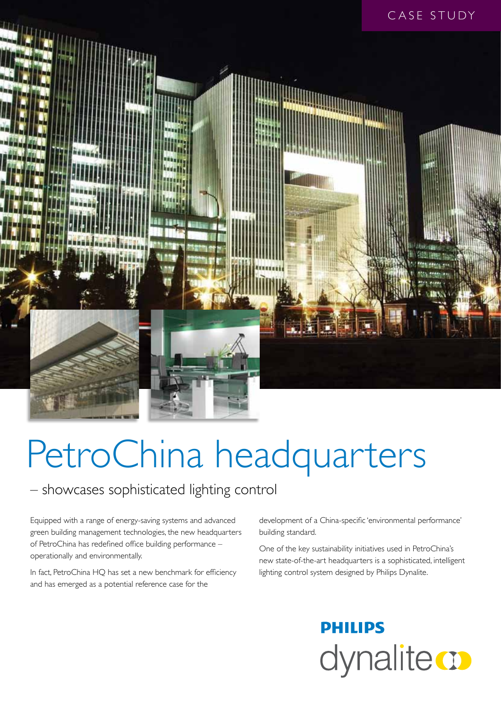

# PetroChina headquarters

### – showcases sophisticated lighting control

Equipped with a range of energy-saving systems and advanced green building management technologies, the new headquarters of PetroChina has redefined office building performance – operationally and environmentally.

In fact, PetroChina HQ has set a new benchmark for efficiency and has emerged as a potential reference case for the

development of a China-specific 'environmental performance' building standard.

One of the key sustainability initiatives used in PetroChina's new state-of-the-art headquarters is a sophisticated, intelligent lighting control system designed by Philips Dynalite.

## **PHILIPS** dynalite **o**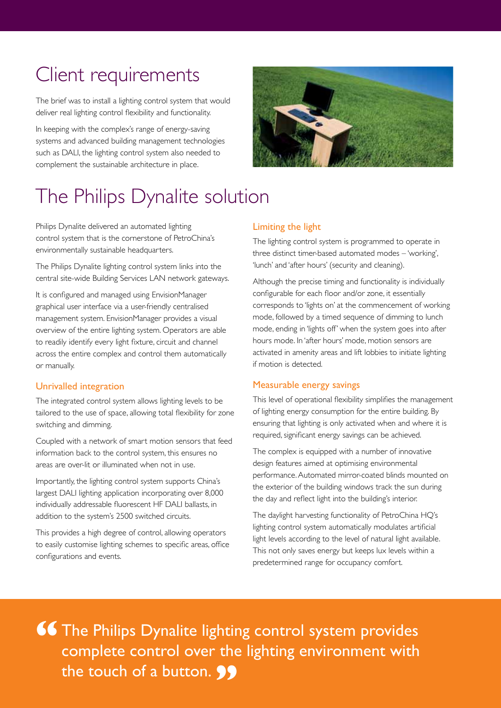### Client requirements

The brief was to install a lighting control system that would deliver real lighting control flexibility and functionality.

In keeping with the complex's range of energy-saving systems and advanced building management technologies such as DALI, the lighting control system also needed to complement the sustainable architecture in place.



### The Philips Dynalite solution

Philips Dynalite delivered an automated lighting control system that is the cornerstone of PetroChina's environmentally sustainable headquarters.

The Philips Dynalite lighting control system links into the central site-wide Building Services LAN network gateways.

It is configured and managed using EnvisionManager graphical user interface via a user-friendly centralised management system. EnvisionManager provides a visual overview of the entire lighting system. Operators are able to readily identify every light fixture, circuit and channel across the entire complex and control them automatically or manually.

#### Unrivalled integration

The integrated control system allows lighting levels to be tailored to the use of space, allowing total flexibility for zone switching and dimming.

Coupled with a network of smart motion sensors that feed information back to the control system, this ensures no areas are over-lit or illuminated when not in use.

Importantly, the lighting control system supports China's largest DALI lighting application incorporating over 8,000 individually addressable fluorescent HF DALI ballasts, in addition to the system's 2500 switched circuits.

This provides a high degree of control, allowing operators to easily customise lighting schemes to specific areas, office configurations and events.

#### Limiting the light

The lighting control system is programmed to operate in three distinct timer-based automated modes – 'working', 'lunch' and 'after hours' (security and cleaning).

Although the precise timing and functionality is individually configurable for each floor and/or zone, it essentially corresponds to 'lights on' at the commencement of working mode, followed by a timed sequence of dimming to lunch mode, ending in 'lights off' when the system goes into after hours mode. In 'after hours' mode, motion sensors are activated in amenity areas and lift lobbies to initiate lighting if motion is detected.

#### Measurable energy savings

This level of operational flexibility simplifies the management of lighting energy consumption for the entire building. By ensuring that lighting is only activated when and where it is required, significant energy savings can be achieved.

The complex is equipped with a number of innovative design features aimed at optimising environmental performance. Automated mirror-coated blinds mounted on the exterior of the building windows track the sun during the day and reflect light into the building's interior.

The daylight harvesting functionality of PetroChina HQ's lighting control system automatically modulates artificial light levels according to the level of natural light available. This not only saves energy but keeps lux levels within a predetermined range for occupancy comfort.

**66** The Philips Dynalite lighting control system provides<br>complete control over the lighting environment with complete control over the lighting environment with the touch of a button. **99**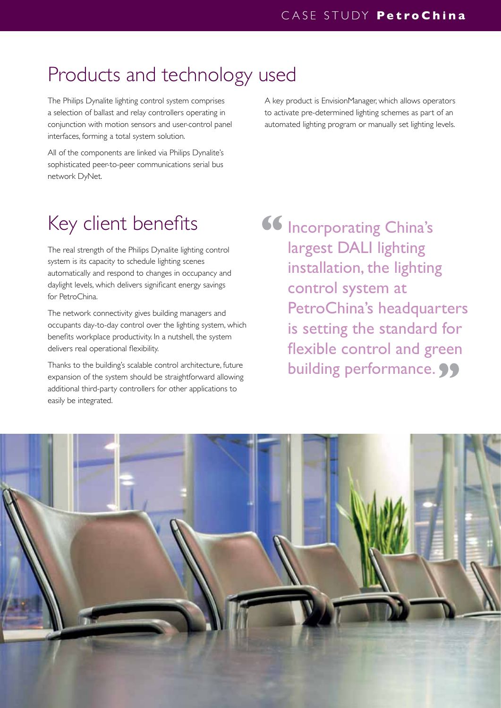### Products and technology used

The Philips Dynalite lighting control system comprises a selection of ballast and relay controllers operating in conjunction with motion sensors and user-control panel interfaces, forming a total system solution.

A key product is EnvisionManager, which allows operators to activate pre-determined lighting schemes as part of an automated lighting program or manually set lighting levels.

All of the components are linked via Philips Dynalite's sophisticated peer-to-peer communications serial bus network DyNet.

### Key client benefits

The real strength of the Philips Dynalite lighting control system is its capacity to schedule lighting scenes automatically and respond to changes in occupancy and daylight levels, which delivers significant energy savings for PetroChina.

The network connectivity gives building managers and occupants day-to-day control over the lighting system, which benefits workplace productivity. In a nutshell, the system delivers real operational flexibility.

Thanks to the building's scalable control architecture, future expansion of the system should be straightforward allowing additional third-party controllers for other applications to easily be integrated.

Incorporating China's largest DALI lighting installation, the lighting control system at PetroChina's headquarters is setting the standard for flexible control and green building performance. 99 **"**